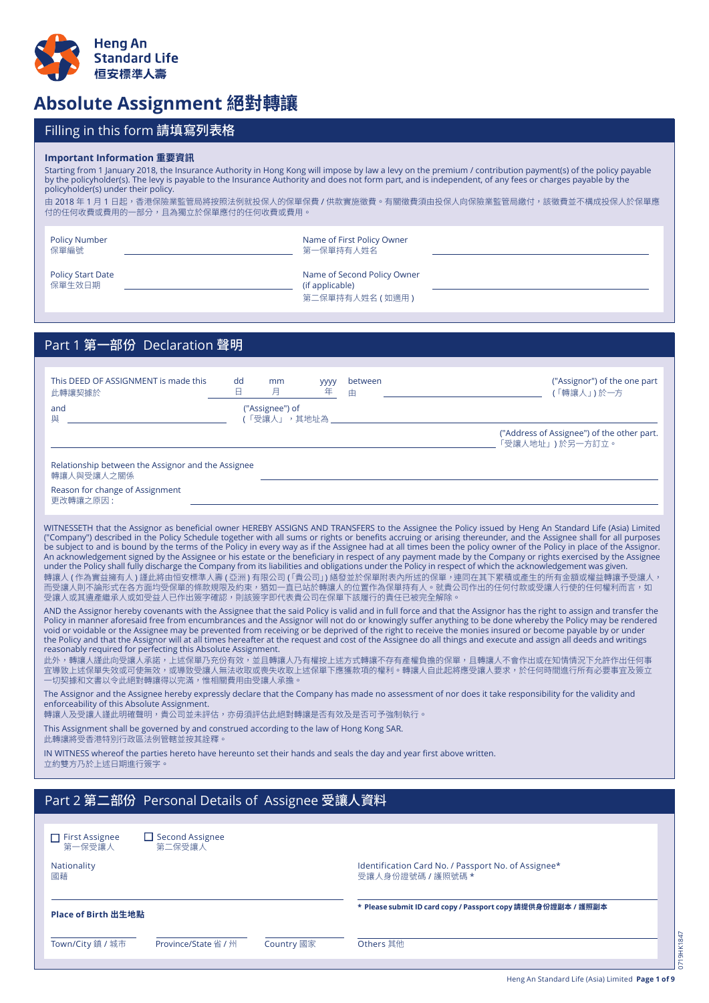

## Absolute Assignment 絕對轉讓

## Filling in this form 請填寫列表格

## **Important Information 重要資訊**

Starting from 1 January 2018, the Insurance Authority in Hong Kong will impose by law a levy on the premium / contribution payment(s) of the policy payable by the policyholder(s). The levy is payable to the Insurance Authority and does not form part, and is independent, of any fees or charges payable by the policyholder(s) under their policy. 由 2018 年 1 月 1 日起,香港保險業監管局將按照法例就投保人的保單保費 / 供款實施徵費。有關徵費須由投保人向保險業監管局繳付,該徵費並不構成投保人於保單應 付的仕何收費或費用的一部分,且為獨立於保車應付的仕何收費或費用。<br>-

| <b>Policy Number</b><br>保單編號       | Name of First Policy Owner<br>第一保單持有人姓名                           |  |
|------------------------------------|-------------------------------------------------------------------|--|
| <b>Policy Start Date</b><br>保單生效日期 | Name of Second Policy Owner<br>(if applicable)<br>第二保單持有人姓名 (如適用) |  |

## Part 1 第一部份 Declaration 聲明

| This DEED OF ASSIGNMENT is made this<br>此轉讓契據於                                                                                                                                                                                                                                                                                                                                                                                                                                                                                                                                                                                                                                                                                                                                                                                                                                                                                                                                                                                                                     | dd<br>B. | mm<br>月                        | <b>yyyy</b><br>年 | between<br>由      | ("Assignor") of the one part<br>(「轉讓人」)於一方                                                                                                                                                                                                                                                                                                                                                                                                                                                                                                                                                                                                                                                                                                                                                                                |  |  |  |
|--------------------------------------------------------------------------------------------------------------------------------------------------------------------------------------------------------------------------------------------------------------------------------------------------------------------------------------------------------------------------------------------------------------------------------------------------------------------------------------------------------------------------------------------------------------------------------------------------------------------------------------------------------------------------------------------------------------------------------------------------------------------------------------------------------------------------------------------------------------------------------------------------------------------------------------------------------------------------------------------------------------------------------------------------------------------|----------|--------------------------------|------------------|-------------------|---------------------------------------------------------------------------------------------------------------------------------------------------------------------------------------------------------------------------------------------------------------------------------------------------------------------------------------------------------------------------------------------------------------------------------------------------------------------------------------------------------------------------------------------------------------------------------------------------------------------------------------------------------------------------------------------------------------------------------------------------------------------------------------------------------------------------|--|--|--|
| and<br>與                                                                                                                                                                                                                                                                                                                                                                                                                                                                                                                                                                                                                                                                                                                                                                                                                                                                                                                                                                                                                                                           |          | ("Assignee") of<br>(「受讓人」,其地址為 |                  |                   |                                                                                                                                                                                                                                                                                                                                                                                                                                                                                                                                                                                                                                                                                                                                                                                                                           |  |  |  |
|                                                                                                                                                                                                                                                                                                                                                                                                                                                                                                                                                                                                                                                                                                                                                                                                                                                                                                                                                                                                                                                                    |          |                                |                  |                   | ("Address of Assignee") of the other part.<br>「受讓人地址」)於另一方訂立。                                                                                                                                                                                                                                                                                                                                                                                                                                                                                                                                                                                                                                                                                                                                                             |  |  |  |
| Relationship between the Assignor and the Assignee<br>轉讓人與受讓人之關係                                                                                                                                                                                                                                                                                                                                                                                                                                                                                                                                                                                                                                                                                                                                                                                                                                                                                                                                                                                                   |          |                                |                  |                   |                                                                                                                                                                                                                                                                                                                                                                                                                                                                                                                                                                                                                                                                                                                                                                                                                           |  |  |  |
| Reason for change of Assignment<br>更改轉讓之原因:                                                                                                                                                                                                                                                                                                                                                                                                                                                                                                                                                                                                                                                                                                                                                                                                                                                                                                                                                                                                                        |          |                                |                  |                   |                                                                                                                                                                                                                                                                                                                                                                                                                                                                                                                                                                                                                                                                                                                                                                                                                           |  |  |  |
| WITNESSETH that the Assignor as beneficial owner HEREBY ASSIGNS AND TRANSFERS to the Assignee the Policy issued by Heng An Standard Life (Asia) Limited<br>("Company") described in the Policy Schedule together with all sums or rights or benefits accruing or arising thereunder, and the Assignee shall for all purposes<br>be subject to and is bound by the terms of the Policy in every way as if the Assignee had at all times been the policy owner of the Policy in place of the Assignor.<br>An acknowledgement signed by the Assignee or his estate or the beneficiary in respect of any payment made by the Company or rights exercised by the Assignee<br>under the Policy shall fully discharge the Company from its liabilities and obligations under the Policy in respect of which the acknowledgement was given.<br>轉讓人 ( 作為實益擁有人 ) 謹此將由恒安標準人壽 ( 亞洲 ) 有限公司 ( 「貴公司」) 繕發並於保單附表內所述的保單,連同在其下累積或產生的所有金額或權益轉讓予受讓人,<br>而受讓人則不論形式在各方面均受保單的條款規限及約束,猶如一直已站於轉讓人的位置作為保單持有人。就貴公司作出的任何付款或受讓人行使的任何權利而言,如<br>受讓人或其遺產繼承人或如受益人已作出簽字確認,則該簽字即代表貴公司在保單下該履行的責任已被完全解除。 |          |                                |                  |                   |                                                                                                                                                                                                                                                                                                                                                                                                                                                                                                                                                                                                                                                                                                                                                                                                                           |  |  |  |
| reasonably required for perfecting this Absolute Assignment.<br>一切契據和文書以令此絕對轉讓得以完滿,惟相關費用由受讓人承擔。                                                                                                                                                                                                                                                                                                                                                                                                                                                                                                                                                                                                                                                                                                                                                                                                                                                                                                                                                                    |          |                                |                  |                   | AND the Assignor hereby covenants with the Assignee that the said Policy is valid and in full force and that the Assignor has the right to assign and transfer the<br>Policy in manner aforesaid free from encumbrances and the Assignor will not do or knowingly suffer anything to be done whereby the Policy may be rendered<br>void or voidable or the Assignee may be prevented from receiving or be deprived of the right to receive the monies insured or become payable by or under<br>the Policy and that the Assignor will at all times hereafter at the request and cost of the Assignee do all things and execute and assign all deeds and writings<br>此外,轉讓人謹此向受讓人承諾,上述保單乃充份有效,並且轉讓人乃有權按上述方式轉讓不存有產權負擔的保單,且轉讓人不會作出或在知情情況下允許作出任何事<br>宜導致上述保單失效或可使無效,或導致受讓人無法收取或喪失收取上述保單下應獲款項的權利。轉讓人自此起將應受讓人要求,於任何時間進行所有必要事宜及簽立 |  |  |  |
| The Assignor and the Assignee hereby expressly declare that the Company has made no assessment of nor does it take responsibility for the validity and<br>enforceability of this Absolute Assignment.<br>轉讓人及受讓人謹此明確聲明,貴公司並未評估,亦毋須評估此絕對轉讓是否有效及是否可予強制執行。                                                                                                                                                                                                                                                                                                                                                                                                                                                                                                                                                                                                                                                                                                                                                                                                            |          |                                |                  |                   |                                                                                                                                                                                                                                                                                                                                                                                                                                                                                                                                                                                                                                                                                                                                                                                                                           |  |  |  |
| This Assignment shall be governed by and construed according to the law of Hong Kong SAR.<br>此轉讓將受香港特別行政區法例管轄並按其詮釋。                                                                                                                                                                                                                                                                                                                                                                                                                                                                                                                                                                                                                                                                                                                                                                                                                                                                                                                                                |          |                                |                  |                   |                                                                                                                                                                                                                                                                                                                                                                                                                                                                                                                                                                                                                                                                                                                                                                                                                           |  |  |  |
| IN WITNESS whereof the parties hereto have hereunto set their hands and seals the day and year first above written.<br>立約雙方乃於上述日期進行簽字。                                                                                                                                                                                                                                                                                                                                                                                                                                                                                                                                                                                                                                                                                                                                                                                                                                                                                                                             |          |                                |                  |                   |                                                                                                                                                                                                                                                                                                                                                                                                                                                                                                                                                                                                                                                                                                                                                                                                                           |  |  |  |
| Part 2 第二部份 Personal Details of Assignee 受讓人資料                                                                                                                                                                                                                                                                                                                                                                                                                                                                                                                                                                                                                                                                                                                                                                                                                                                                                                                                                                                                                     |          |                                |                  |                   |                                                                                                                                                                                                                                                                                                                                                                                                                                                                                                                                                                                                                                                                                                                                                                                                                           |  |  |  |
|                                                                                                                                                                                                                                                                                                                                                                                                                                                                                                                                                                                                                                                                                                                                                                                                                                                                                                                                                                                                                                                                    |          |                                |                  |                   |                                                                                                                                                                                                                                                                                                                                                                                                                                                                                                                                                                                                                                                                                                                                                                                                                           |  |  |  |
| $\Box$ First Assignee<br>$\Box$ Second Assignee<br>第一保受讓人<br>第二保受讓人                                                                                                                                                                                                                                                                                                                                                                                                                                                                                                                                                                                                                                                                                                                                                                                                                                                                                                                                                                                                |          |                                |                  |                   |                                                                                                                                                                                                                                                                                                                                                                                                                                                                                                                                                                                                                                                                                                                                                                                                                           |  |  |  |
| Nationality<br>國藉                                                                                                                                                                                                                                                                                                                                                                                                                                                                                                                                                                                                                                                                                                                                                                                                                                                                                                                                                                                                                                                  |          |                                |                  | 受讓人身份證號碼 / 護照號碼 * | Identification Card No. / Passport No. of Assignee*                                                                                                                                                                                                                                                                                                                                                                                                                                                                                                                                                                                                                                                                                                                                                                       |  |  |  |
| Place of Birth 出生地點                                                                                                                                                                                                                                                                                                                                                                                                                                                                                                                                                                                                                                                                                                                                                                                                                                                                                                                                                                                                                                                |          |                                |                  |                   | * Please submit ID card copy / Passport copy 請提供身份證副本 / 護照副本                                                                                                                                                                                                                                                                                                                                                                                                                                                                                                                                                                                                                                                                                                                                                              |  |  |  |

Town/City 鎮 / 城市 Province/State 省 / 州 Country 國家 Others 其他

0719HK1847

**9HK1847** 5